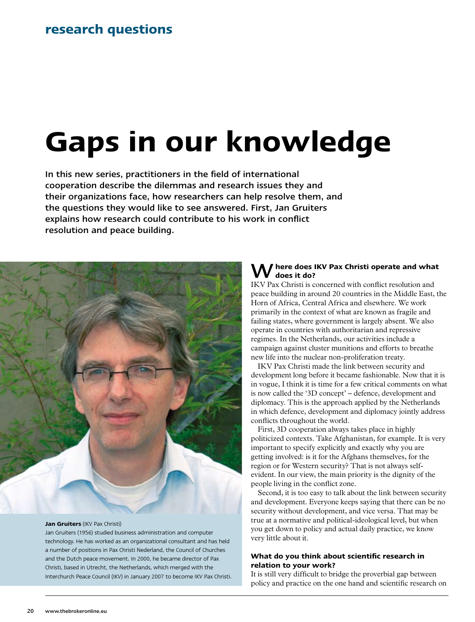# **Gaps in our knowledge**

In this new series, practitioners in the field of international cooperation describe the dilemmas and research issues they and their organizations face, how researchers can help resolve them, and the questions they would like to see answered. First, Jan Gruiters explains how research could contribute to his work in conflict resolution and peace building.



#### **Jan Gruiters** (IKV Pax Christi)

Jan Gruiters (1956) studied business administration and computer technology. He has worked as an organizational consultant and has held a number of positions in Pax Christi Nederland, the Council of Churches and the Dutch peace movement. In 2000, he became director of Pax Christi, based in Utrecht, the Netherlands, which merged with the Interchurch Peace Council (IKV) in January 2007 to become IKV Pax Christi.

### W**here does IKV Pax Christi operate and what does it do?**

IKV Pax Christi is concerned with conflict resolution and peace building in around 20 countries in the Middle East, the Horn of Africa, Central Africa and elsewhere. We work primarily in the context of what are known as fragile and failing states, where government is largely absent. We also operate in countries with authoritarian and repressive regimes. In the Netherlands, our activities include a campaign against cluster munitions and efforts to breathe new life into the nuclear non-proliferation treaty.

IKV Pax Christi made the link between security and development long before it became fashionable. Now that it is in vogue, I think it is time for a few critical comments on what is now called the '3D concept' – defence, development and diplomacy. This is the approach applied by the Netherlands in which defence, development and diplomacy jointly address conflicts throughout the world.

First, 3D cooperation always takes place in highly politicized contexts. Take Afghanistan, for example. It is very important to specify explicitly and exactly why you are getting involved: is it for the Afghans themselves, for the region or for Western security? That is not always selfevident. In our view, the main priority is the dignity of the people living in the conflict zone.

Second, it is too easy to talk about the link between security and development. Everyone keeps saying that there can be no security without development, and vice versa. That may be true at a normative and political-ideological level, but when you get down to policy and actual daily practice, we know very little about it.

## **What do you think about scientific research in relation to your work?**

It is still very difficult to bridge the proverbial gap between policy and practice on the one hand and scientific research on